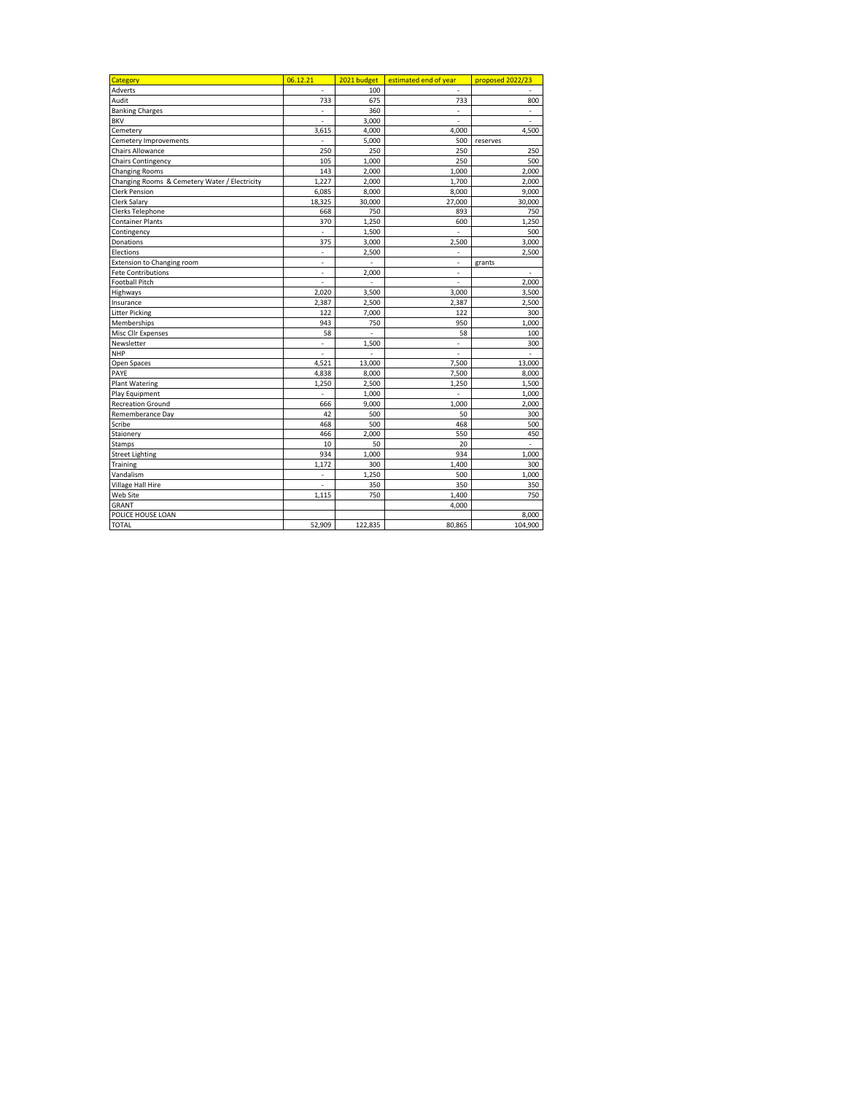| Category                                      | 06.12.21                 | 2021 budget    | estimated end of year | proposed 2022/23 |
|-----------------------------------------------|--------------------------|----------------|-----------------------|------------------|
| Adverts                                       |                          | 100            |                       |                  |
| Audit                                         | 733                      | 675            | 733                   | 800              |
| <b>Banking Charges</b>                        | Ĭ.                       | 360            | ÷                     | ÷                |
| <b>BKV</b>                                    | $\overline{a}$           | 3,000          |                       |                  |
| Cemetery                                      | 3,615                    | 4,000          | 4,000                 | 4,500            |
| Cemetery Improvements                         |                          | 5,000          | 500                   | reserves         |
| <b>Chairs Allowance</b>                       | 250                      | 250            | 250                   | 250              |
| <b>Chairs Contingency</b>                     | 105                      | 1,000          | 250                   | 500              |
| <b>Changing Rooms</b>                         | 143                      | 2,000          | 1,000                 | 2,000            |
| Changing Rooms & Cemetery Water / Electricity | 1,227                    | 2,000          | 1,700                 | 2,000            |
| <b>Clerk Pension</b>                          | 6,085                    | 8,000          | 8,000                 | 9,000            |
| Clerk Salary                                  | 18,325                   | 30,000         | 27,000                | 30,000           |
| Clerks Telephone                              | 668                      | 750            | 893                   | 750              |
| <b>Container Plants</b>                       | 370                      | 1,250          | 600                   | 1,250            |
| Contingency                                   | $\overline{a}$           | 1,500          | $\overline{a}$        | 500              |
| Donations                                     | 375                      | 3,000          | 2,500                 | 3,000            |
| Elections                                     | $\overline{\phantom{0}}$ | 2,500          | ÷                     | 2,500            |
| <b>Extension to Changing room</b>             | $\overline{a}$           | $\overline{a}$ |                       | grants           |
| <b>Fete Contributions</b>                     | $\frac{1}{2}$            | 2,000          | $\overline{a}$        | $\overline{a}$   |
| <b>Football Pitch</b>                         | L,                       | $\frac{1}{2}$  |                       | 2,000            |
| Highways                                      | 2,020                    | 3,500          | 3,000                 | 3,500            |
| Insurance                                     | 2,387                    | 2,500          | 2,387                 | 2,500            |
| <b>Litter Picking</b>                         | 122                      | 7,000          | 122                   | 300              |
| Memberships                                   | 943                      | 750            | 950                   | 1,000            |
| Misc Cllr Expenses                            | 58                       | $\overline{a}$ | 58                    | 100              |
| Newsletter                                    | ÷                        | 1,500          | ÷                     | 300              |
| <b>NHP</b>                                    | $\overline{a}$           |                | $\overline{a}$        |                  |
| Open Spaces                                   | 4,521                    | 13,000         | 7,500                 | 13,000           |
| PAYE                                          | 4,838                    | 8,000          | 7,500                 | 8,000            |
| <b>Plant Watering</b>                         | 1,250                    | 2,500          | 1,250                 | 1,500            |
| Play Equipment                                | L,                       | 1,000          |                       | 1,000            |
| <b>Recreation Ground</b>                      | 666                      | 9,000          | 1,000                 | 2,000            |
| Rememberance Day                              | 42                       | 500            | 50                    | 300              |
| Scribe                                        | 468                      | 500            | 468                   | 500              |
| Staionery                                     | 466                      | 2,000          | 550                   | 450              |
| Stamps                                        | 10                       | 50             | 20                    | $\overline{a}$   |
| <b>Street Lighting</b>                        | 934                      | 1,000          | 934                   | 1,000            |
| Training                                      | 1,172                    | 300            | 1,400                 | 300              |
| Vandalism                                     | $\frac{1}{2}$            | 1,250          | 500                   | 1,000            |
| Village Hall Hire                             | $\overline{a}$           | 350            | 350                   | 350              |
| Web Site                                      | 1,115                    | 750            | 1,400                 | 750              |
| GRANT                                         |                          |                | 4,000                 |                  |
| POLICE HOUSE LOAN                             |                          |                |                       | 8,000            |
| <b>TOTAL</b>                                  | 52,909                   | 122,835        | 80,865                | 104,900          |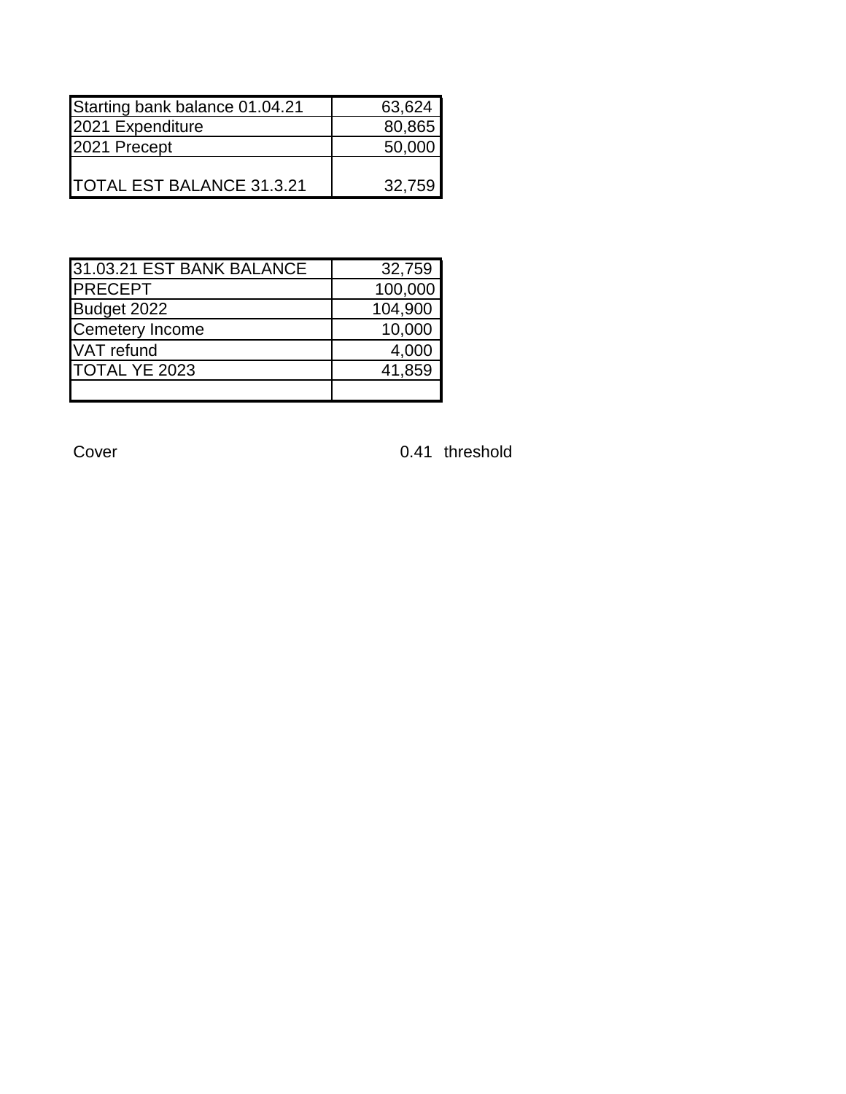| Starting bank balance 01.04.21    | 63,624 |
|-----------------------------------|--------|
| 2021 Expenditure                  | 80,865 |
| 2021 Precept                      | 50,000 |
|                                   |        |
| <b>ITOTAL EST BALANCE 31.3.21</b> | 32.759 |

| 31.03.21 EST BANK BALANCE | 32,759  |
|---------------------------|---------|
| <b>PRECEPT</b>            | 100,000 |
| Budget 2022               | 104,900 |
| <b>Cemetery Income</b>    | 10,000  |
| VAT refund                | 4,000   |
| TOTAL YE 2023             | 41,859  |
|                           |         |

Cover Cover Cover Cover Cover Cover Cover Cover Cover Cover Cover Cover Cover Cover Cover Cover Cover Cover Cover Cover Cover Cover Cover Cover Cover Cover Cover Cover Cover Cover Cover Cover Cover Cover Cover Cover Cover